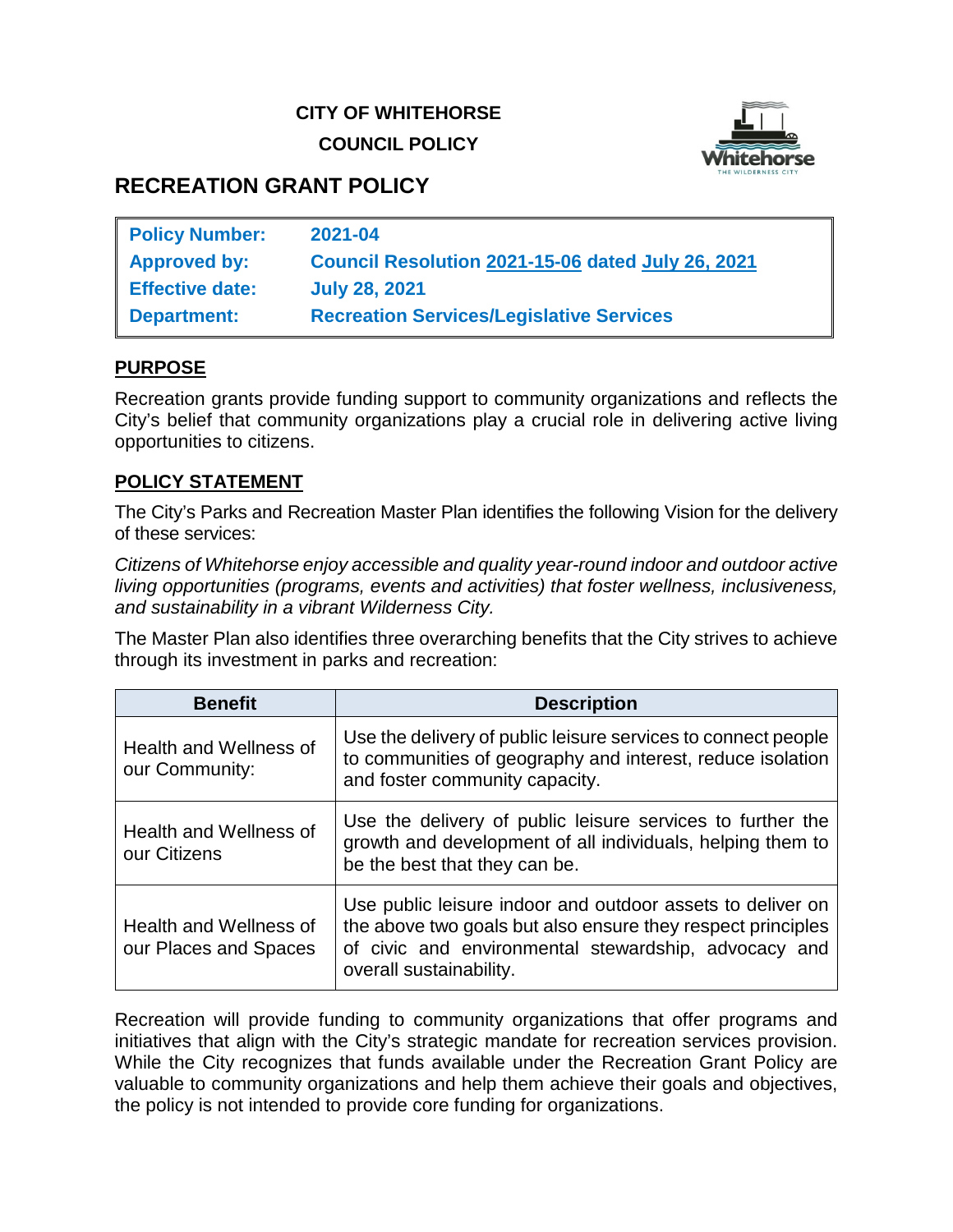## **CITY OF WHITEHORSE COUNCIL POLICY**



# **RECREATION GRANT POLICY**

| <b>Policy Number:</b>  | 2021-04                                           |
|------------------------|---------------------------------------------------|
| <b>Approved by:</b>    | Council Resolution 2021-15-06 dated July 26, 2021 |
| <b>Effective date:</b> | <b>July 28, 2021</b>                              |
| <b>Department:</b>     | <b>Recreation Services/Legislative Services</b>   |

### **PURPOSE**

Recreation grants provide funding support to community organizations and reflects the City's belief that community organizations play a crucial role in delivering active living opportunities to citizens.

### **POLICY STATEMENT**

The City's Parks and Recreation Master Plan identifies the following Vision for the delivery of these services:

*Citizens of Whitehorse enjoy accessible and quality year-round indoor and outdoor active living opportunities (programs, events and activities) that foster wellness, inclusiveness, and sustainability in a vibrant Wilderness City.*

The Master Plan also identifies three overarching benefits that the City strives to achieve through its investment in parks and recreation:

| <b>Benefit</b>                                  | <b>Description</b>                                                                                                                                                                                           |  |
|-------------------------------------------------|--------------------------------------------------------------------------------------------------------------------------------------------------------------------------------------------------------------|--|
| <b>Health and Wellness of</b><br>our Community: | Use the delivery of public leisure services to connect people<br>to communities of geography and interest, reduce isolation<br>and foster community capacity.                                                |  |
| <b>Health and Wellness of</b><br>our Citizens   | Use the delivery of public leisure services to further the<br>growth and development of all individuals, helping them to<br>be the best that they can be.                                                    |  |
| Health and Wellness of<br>our Places and Spaces | Use public leisure indoor and outdoor assets to deliver on<br>the above two goals but also ensure they respect principles<br>of civic and environmental stewardship, advocacy and<br>overall sustainability. |  |

Recreation will provide funding to community organizations that offer programs and initiatives that align with the City's strategic mandate for recreation services provision. While the City recognizes that funds available under the Recreation Grant Policy are valuable to community organizations and help them achieve their goals and objectives, the policy is not intended to provide core funding for organizations.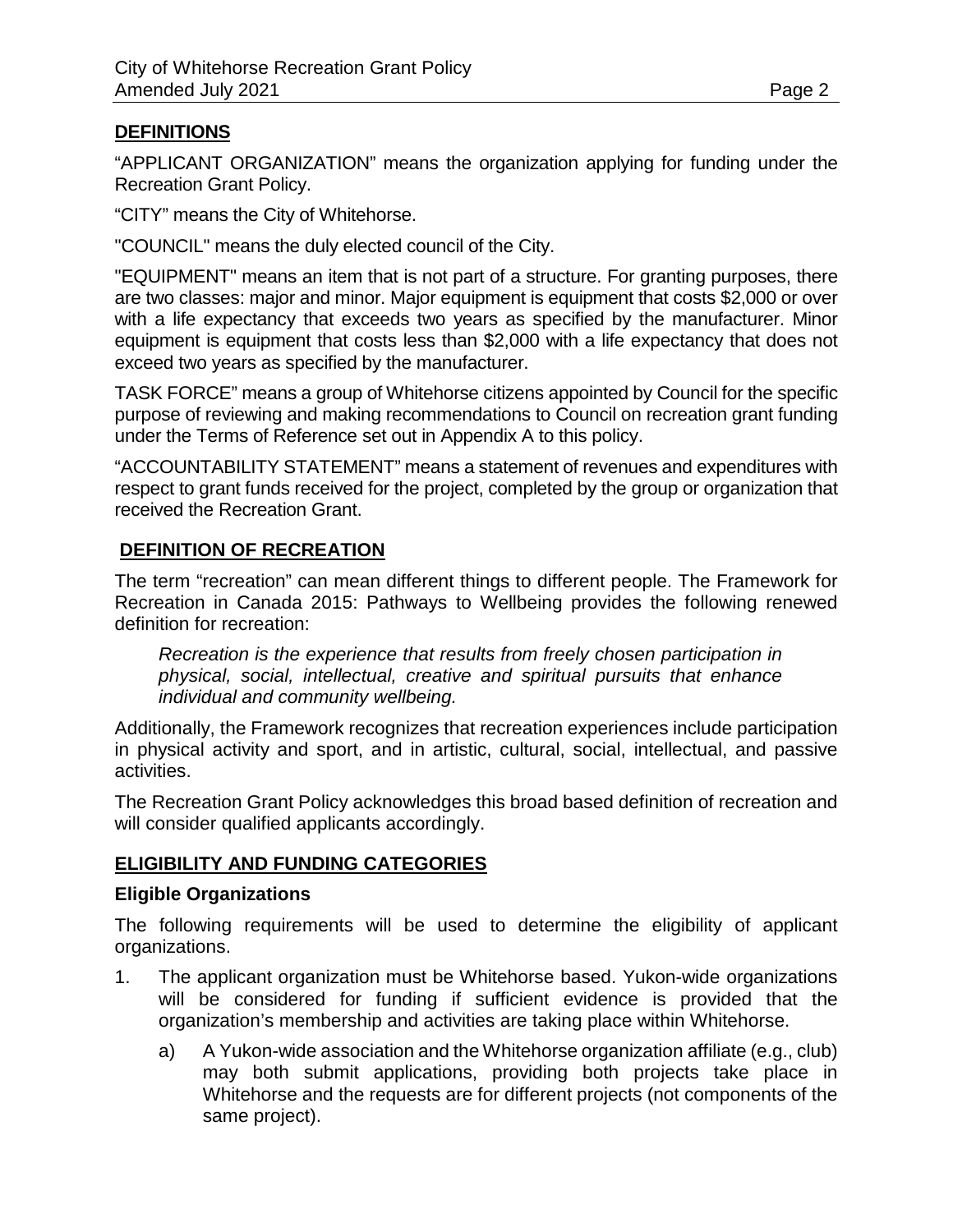### **DEFINITIONS**

"APPLICANT ORGANIZATION" means the organization applying for funding under the Recreation Grant Policy.

"CITY" means the City of Whitehorse.

"COUNCIL" means the duly elected council of the City.

"EQUIPMENT" means an item that is not part of a structure. For granting purposes, there are two classes: major and minor. Major equipment is equipment that costs \$2,000 or over with a life expectancy that exceeds two years as specified by the manufacturer. Minor equipment is equipment that costs less than \$2,000 with a life expectancy that does not exceed two years as specified by the manufacturer.

TASK FORCE" means a group of Whitehorse citizens appointed by Council for the specific purpose of reviewing and making recommendations to Council on recreation grant funding under the Terms of Reference set out in Appendix A to this policy.

"ACCOUNTABILITY STATEMENT" means a statement of revenues and expenditures with respect to grant funds received for the project, completed by the group or organization that received the Recreation Grant.

### **DEFINITION OF RECREATION**

The term "recreation" can mean different things to different people. The Framework for Recreation in Canada 2015: Pathways to Wellbeing provides the following renewed definition for recreation:

*Recreation is the experience that results from freely chosen participation in physical, social, intellectual, creative and spiritual pursuits that enhance individual and community wellbeing.*

Additionally, the Framework recognizes that recreation experiences include participation in physical activity and sport, and in artistic, cultural, social, intellectual, and passive activities.

The Recreation Grant Policy acknowledges this broad based definition of recreation and will consider qualified applicants accordingly.

### **ELIGIBILITY AND FUNDING CATEGORIES**

### **Eligible Organizations**

The following requirements will be used to determine the eligibility of applicant organizations.

- 1. The applicant organization must be Whitehorse based. Yukon-wide organizations will be considered for funding if sufficient evidence is provided that the organization's membership and activities are taking place within Whitehorse.
	- a) A Yukon-wide association and the Whitehorse organization affiliate (e.g., club) may both submit applications, providing both projects take place in Whitehorse and the requests are for different projects (not components of the same project).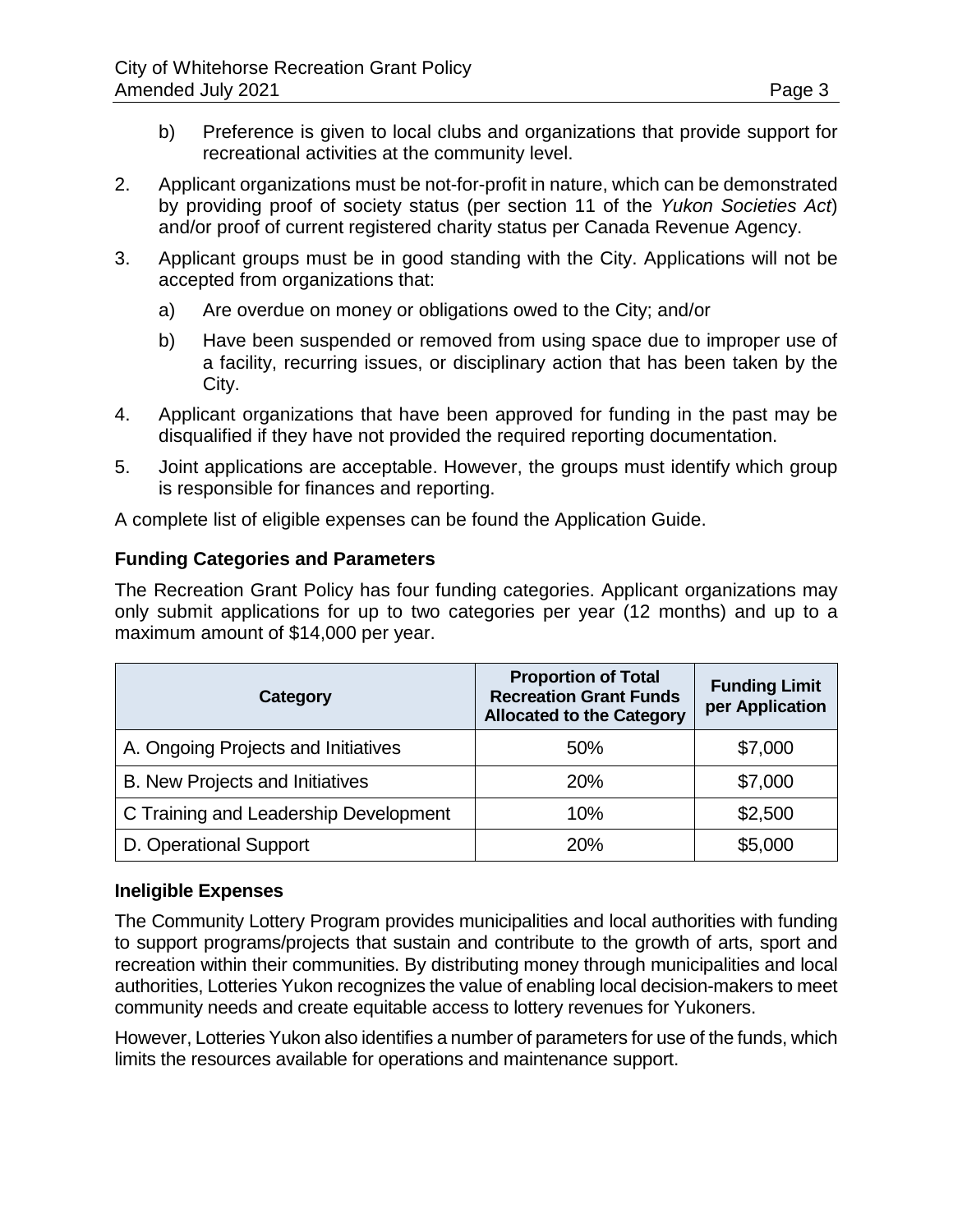- b) Preference is given to local clubs and organizations that provide support for recreational activities at the community level.
- 2. Applicant organizations must be not-for-profit in nature, which can be demonstrated by providing proof of society status (per section 11 of the *Yukon Societies Act*) and/or proof of current registered charity status per Canada Revenue Agency.
- 3. Applicant groups must be in good standing with the City. Applications will not be accepted from organizations that:
	- a) Are overdue on money or obligations owed to the City; and/or
	- b) Have been suspended or removed from using space due to improper use of a facility, recurring issues, or disciplinary action that has been taken by the City.
- 4. Applicant organizations that have been approved for funding in the past may be disqualified if they have not provided the required reporting documentation.
- 5. Joint applications are acceptable. However, the groups must identify which group is responsible for finances and reporting.

A complete list of eligible expenses can be found the Application Guide.

## **Funding Categories and Parameters**

The Recreation Grant Policy has four funding categories. Applicant organizations may only submit applications for up to two categories per year (12 months) and up to a maximum amount of \$14,000 per year.

| Category                              | <b>Proportion of Total</b><br><b>Recreation Grant Funds</b><br><b>Allocated to the Category</b> | <b>Funding Limit</b><br>per Application |
|---------------------------------------|-------------------------------------------------------------------------------------------------|-----------------------------------------|
| A. Ongoing Projects and Initiatives   | 50%                                                                                             | \$7,000                                 |
| B. New Projects and Initiatives       | 20%                                                                                             | \$7,000                                 |
| C Training and Leadership Development | 10%                                                                                             | \$2,500                                 |
| D. Operational Support                | 20%                                                                                             | \$5,000                                 |

### **Ineligible Expenses**

The Community Lottery Program provides municipalities and local authorities with funding to support programs/projects that sustain and contribute to the growth of arts, sport and recreation within their communities. By distributing money through municipalities and local authorities, Lotteries Yukon recognizes the value of enabling local decision-makers to meet community needs and create equitable access to lottery revenues for Yukoners.

However, Lotteries Yukon also identifies a number of parameters for use of the funds, which limits the resources available for operations and maintenance support.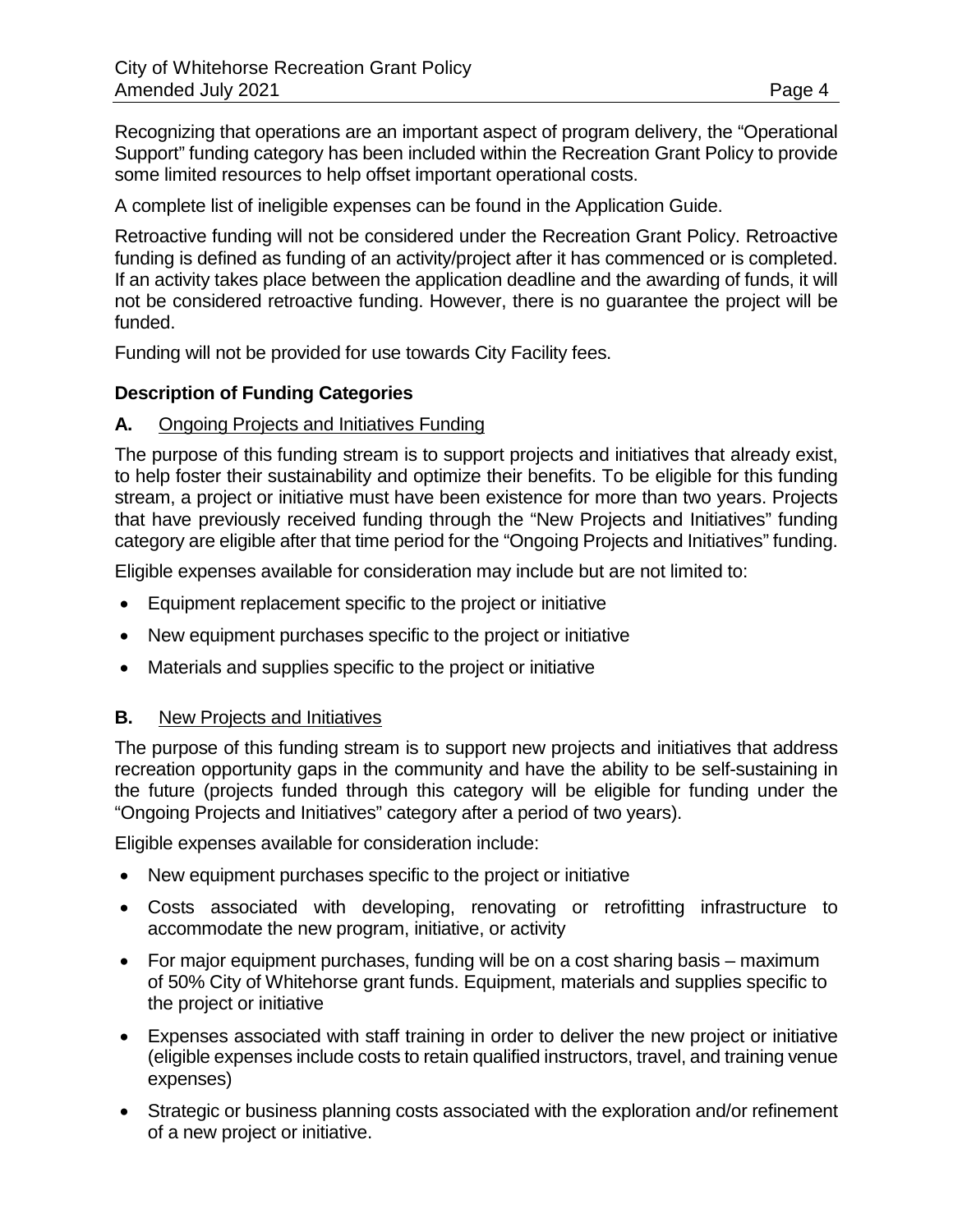Recognizing that operations are an important aspect of program delivery, the "Operational Support" funding category has been included within the Recreation Grant Policy to provide some limited resources to help offset important operational costs.

A complete list of ineligible expenses can be found in the Application Guide.

Retroactive funding will not be considered under the Recreation Grant Policy. Retroactive funding is defined as funding of an activity/project after it has commenced or is completed. If an activity takes place between the application deadline and the awarding of funds, it will not be considered retroactive funding. However, there is no guarantee the project will be funded.

Funding will not be provided for use towards City Facility fees.

### **Description of Funding Categories**

### **A.** Ongoing Projects and Initiatives Funding

The purpose of this funding stream is to support projects and initiatives that already exist, to help foster their sustainability and optimize their benefits. To be eligible for this funding stream, a project or initiative must have been existence for more than two years. Projects that have previously received funding through the "New Projects and Initiatives" funding category are eligible after that time period for the "Ongoing Projects and Initiatives" funding.

Eligible expenses available for consideration may include but are not limited to:

- Equipment replacement specific to the project or initiative
- New equipment purchases specific to the project or initiative
- Materials and supplies specific to the project or initiative

### **B.** New Projects and Initiatives

The purpose of this funding stream is to support new projects and initiatives that address recreation opportunity gaps in the community and have the ability to be self-sustaining in the future (projects funded through this category will be eligible for funding under the "Ongoing Projects and Initiatives" category after a period of two years).

Eligible expenses available for consideration include:

- New equipment purchases specific to the project or initiative
- Costs associated with developing, renovating or retrofitting infrastructure to accommodate the new program, initiative, or activity
- For major equipment purchases, funding will be on a cost sharing basis maximum of 50% City of Whitehorse grant funds. Equipment, materials and supplies specific to the project or initiative
- Expenses associated with staff training in order to deliver the new project or initiative (eligible expenses include costs to retain qualified instructors, travel, and training venue expenses)
- Strategic or business planning costs associated with the exploration and/or refinement of a new project or initiative.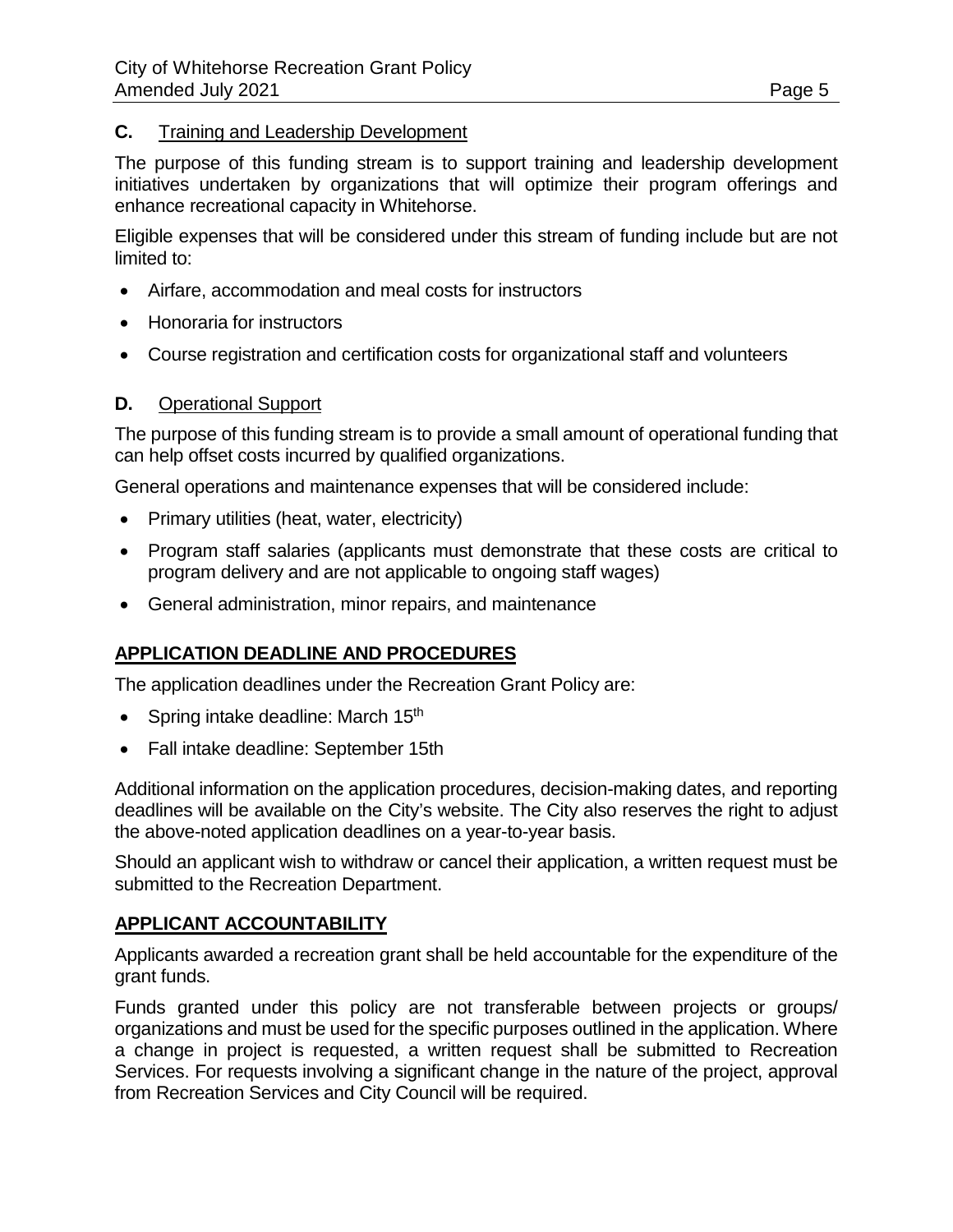### **C.** Training and Leadership Development

The purpose of this funding stream is to support training and leadership development initiatives undertaken by organizations that will optimize their program offerings and enhance recreational capacity in Whitehorse.

Eligible expenses that will be considered under this stream of funding include but are not limited to:

- Airfare, accommodation and meal costs for instructors
- Honoraria for instructors
- Course registration and certification costs for organizational staff and volunteers

### **D.** Operational Support

The purpose of this funding stream is to provide a small amount of operational funding that can help offset costs incurred by qualified organizations.

General operations and maintenance expenses that will be considered include:

- Primary utilities (heat, water, electricity)
- Program staff salaries (applicants must demonstrate that these costs are critical to program delivery and are not applicable to ongoing staff wages)
- General administration, minor repairs, and maintenance

### **APPLICATION DEADLINE AND PROCEDURES**

The application deadlines under the Recreation Grant Policy are:

- Spring intake deadline: March 15<sup>th</sup>
- Fall intake deadline: September 15th

Additional information on the application procedures, decision-making dates, and reporting deadlines will be available on the City's website. The City also reserves the right to adjust the above-noted application deadlines on a year-to-year basis.

Should an applicant wish to withdraw or cancel their application, a written request must be submitted to the Recreation Department.

### **APPLICANT ACCOUNTABILITY**

Applicants awarded a recreation grant shall be held accountable for the expenditure of the grant funds.

Funds granted under this policy are not transferable between projects or groups/ organizations and must be used for the specific purposes outlined in the application. Where a change in project is requested, a written request shall be submitted to Recreation Services. For requests involving a significant change in the nature of the project, approval from Recreation Services and City Council will be required.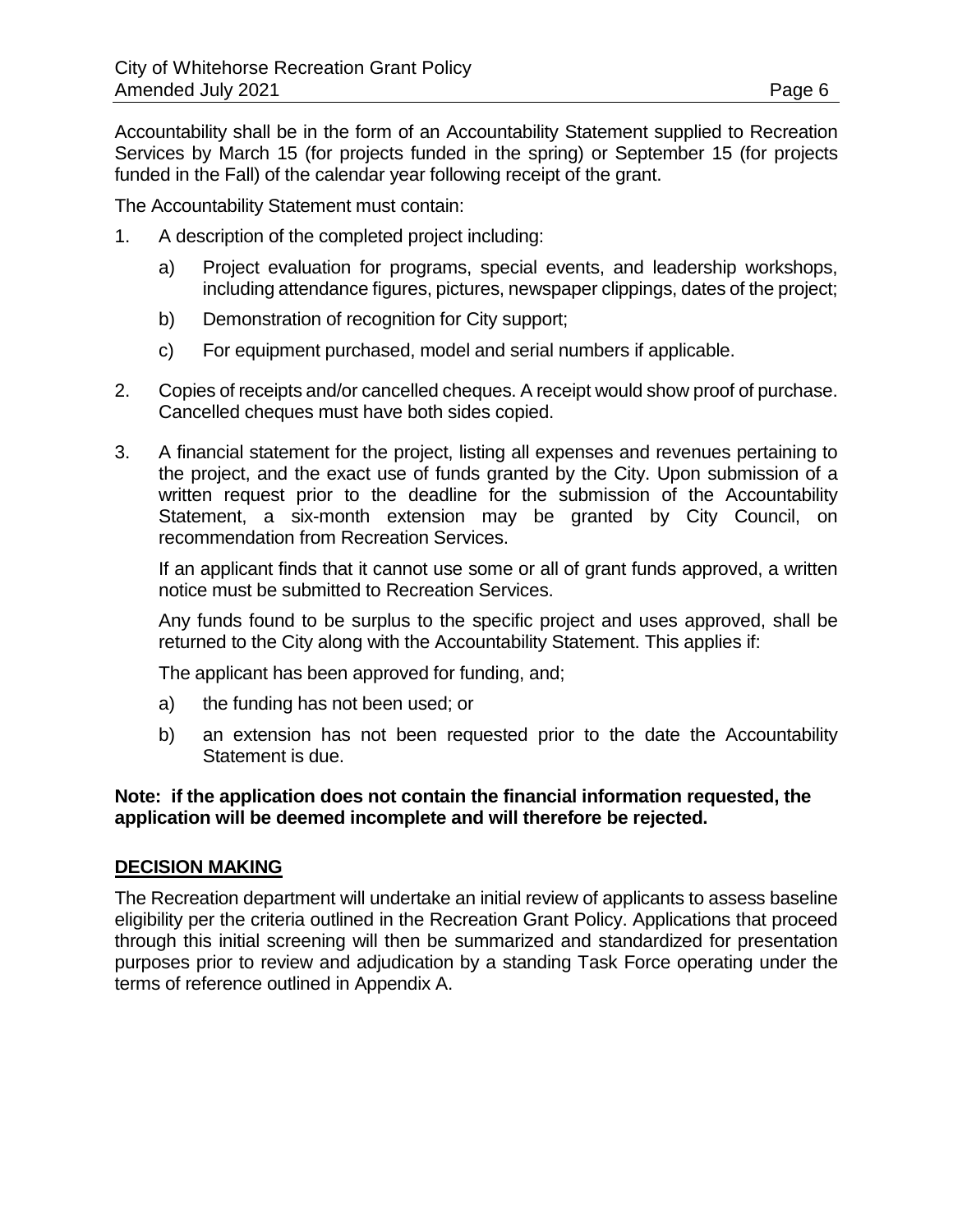Accountability shall be in the form of an Accountability Statement supplied to Recreation Services by March 15 (for projects funded in the spring) or September 15 (for projects funded in the Fall) of the calendar year following receipt of the grant.

The Accountability Statement must contain:

- 1. A description of the completed project including:
	- a) Project evaluation for programs, special events, and leadership workshops, including attendance figures, pictures, newspaper clippings, dates of the project;
	- b) Demonstration of recognition for City support;
	- c) For equipment purchased, model and serial numbers if applicable.
- 2. Copies of receipts and/or cancelled cheques. A receipt would show proof of purchase. Cancelled cheques must have both sides copied.
- 3. A financial statement for the project, listing all expenses and revenues pertaining to the project, and the exact use of funds granted by the City. Upon submission of a written request prior to the deadline for the submission of the Accountability Statement, a six-month extension may be granted by City Council, on recommendation from Recreation Services.

If an applicant finds that it cannot use some or all of grant funds approved, a written notice must be submitted to Recreation Services.

Any funds found to be surplus to the specific project and uses approved, shall be returned to the City along with the Accountability Statement. This applies if:

The applicant has been approved for funding, and;

- a) the funding has not been used; or
- b) an extension has not been requested prior to the date the Accountability Statement is due.

### **Note: if the application does not contain the financial information requested, the application will be deemed incomplete and will therefore be rejected.**

### **DECISION MAKING**

The Recreation department will undertake an initial review of applicants to assess baseline eligibility per the criteria outlined in the Recreation Grant Policy. Applications that proceed through this initial screening will then be summarized and standardized for presentation purposes prior to review and adjudication by a standing Task Force operating under the terms of reference outlined in Appendix A.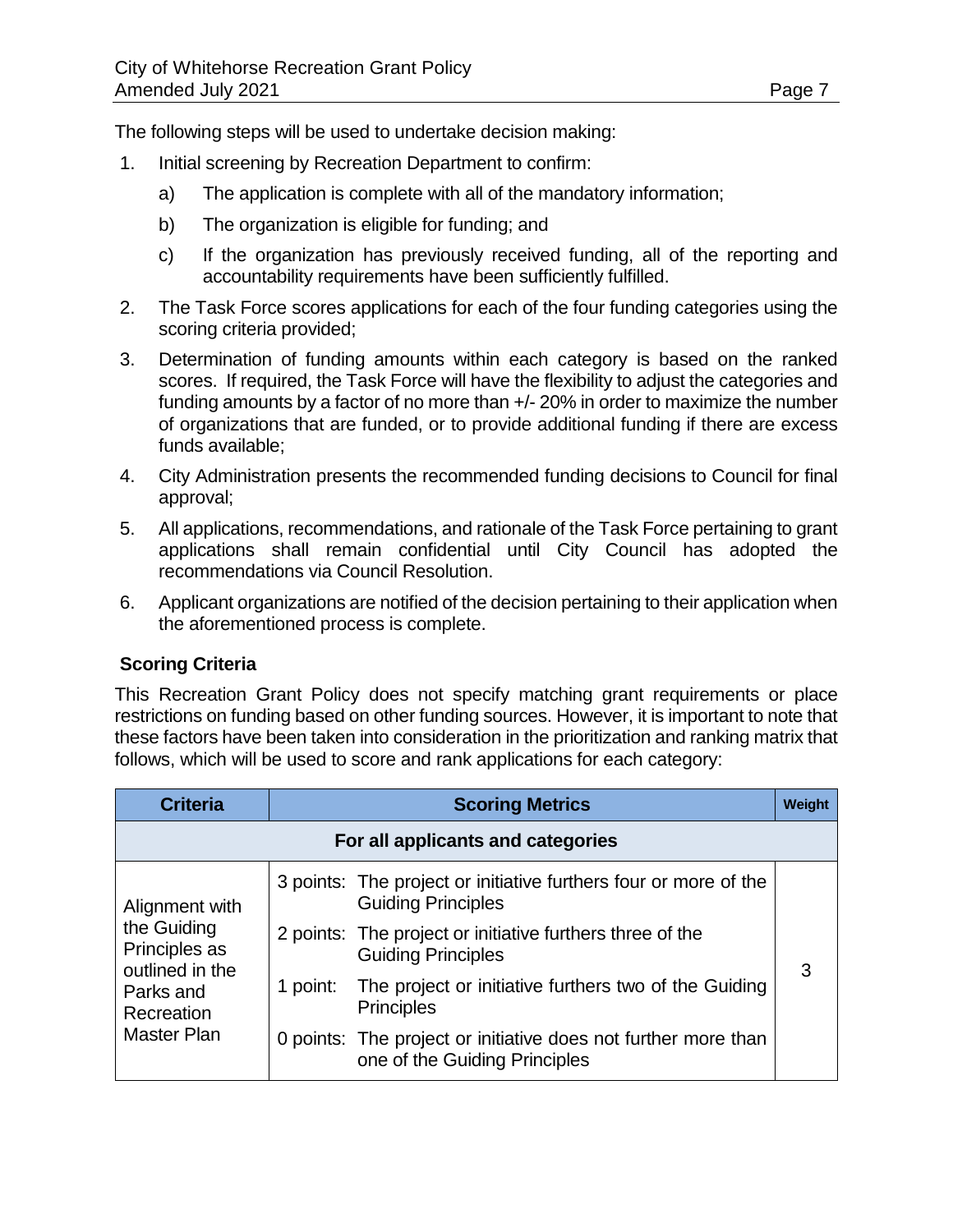The following steps will be used to undertake decision making:

- 1. Initial screening by Recreation Department to confirm:
	- a) The application is complete with all of the mandatory information;
	- b) The organization is eligible for funding; and
	- c) If the organization has previously received funding, all of the reporting and accountability requirements have been sufficiently fulfilled.
- 2. The Task Force scores applications for each of the four funding categories using the scoring criteria provided;
- 3. Determination of funding amounts within each category is based on the ranked scores. If required, the Task Force will have the flexibility to adjust the categories and funding amounts by a factor of no more than +/- 20% in order to maximize the number of organizations that are funded, or to provide additional funding if there are excess funds available;
- 4. City Administration presents the recommended funding decisions to Council for final approval;
- 5. All applications, recommendations, and rationale of the Task Force pertaining to grant applications shall remain confidential until City Council has adopted the recommendations via Council Resolution.
- 6. Applicant organizations are notified of the decision pertaining to their application when the aforementioned process is complete.

### **Scoring Criteria**

This Recreation Grant Policy does not specify matching grant requirements or place restrictions on funding based on other funding sources. However, it is important to note that these factors have been taken into consideration in the prioritization and ranking matrix that follows, which will be used to score and rank applications for each category:

| <b>Criteria</b>                                                                                                    | <b>Scoring Metrics</b><br>Weight |                                                                                                 |   |
|--------------------------------------------------------------------------------------------------------------------|----------------------------------|-------------------------------------------------------------------------------------------------|---|
| For all applicants and categories                                                                                  |                                  |                                                                                                 |   |
| Alignment with<br>the Guiding<br>Principles as<br>outlined in the<br>Parks and<br>Recreation<br><b>Master Plan</b> |                                  | 3 points: The project or initiative furthers four or more of the<br><b>Guiding Principles</b>   |   |
|                                                                                                                    |                                  | 2 points: The project or initiative furthers three of the<br><b>Guiding Principles</b>          |   |
|                                                                                                                    |                                  | 1 point: The project or initiative furthers two of the Guiding<br><b>Principles</b>             | 3 |
|                                                                                                                    |                                  | 0 points: The project or initiative does not further more than<br>one of the Guiding Principles |   |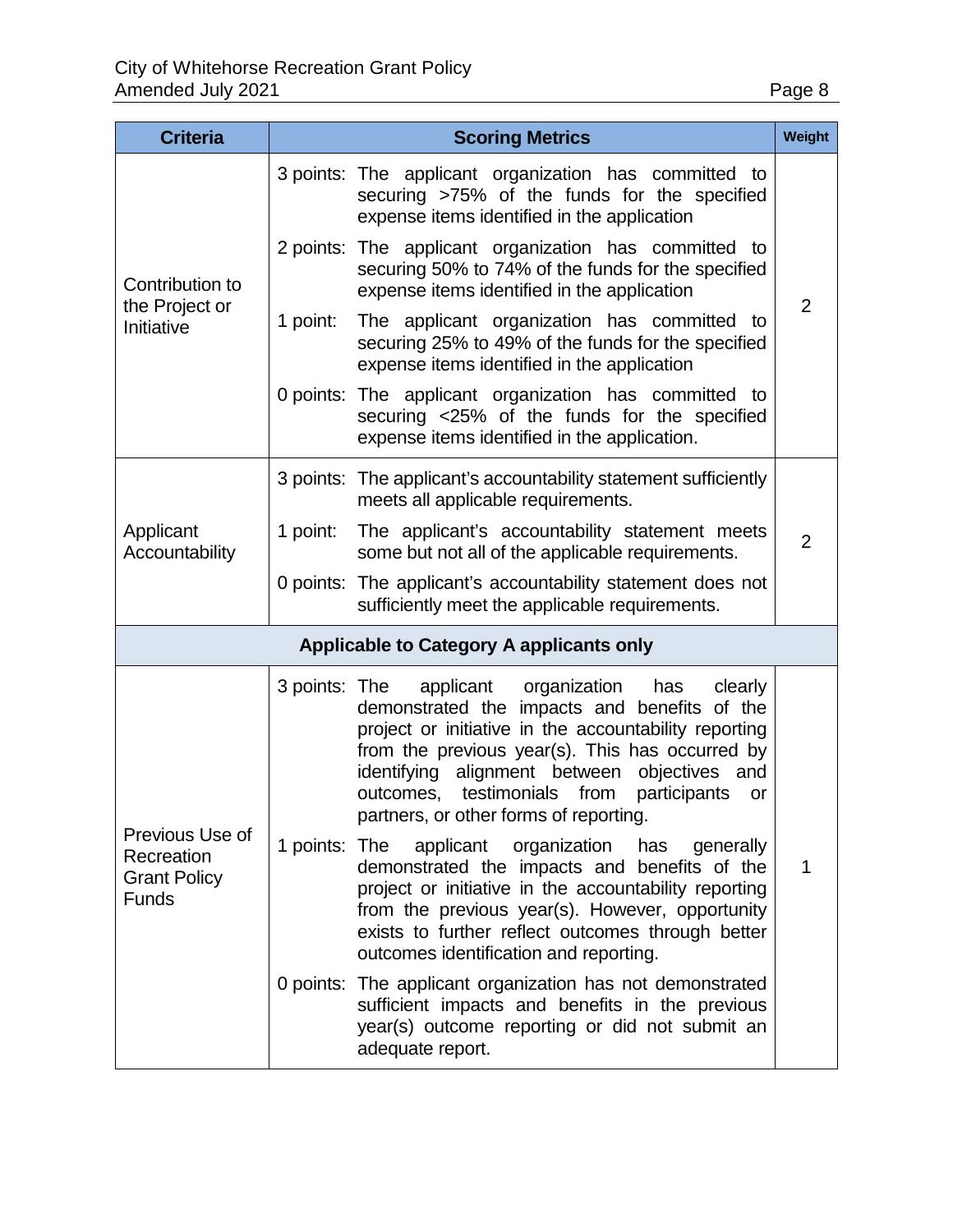| O |  |
|---|--|
|   |  |

| <b>Criteria</b>                                                      | <b>Scoring Metrics</b><br>Weight |                                                                                                                                                                                                                                                                                                                                                                                                                                                                                                                                                                                                                                                                                                                              |                |
|----------------------------------------------------------------------|----------------------------------|------------------------------------------------------------------------------------------------------------------------------------------------------------------------------------------------------------------------------------------------------------------------------------------------------------------------------------------------------------------------------------------------------------------------------------------------------------------------------------------------------------------------------------------------------------------------------------------------------------------------------------------------------------------------------------------------------------------------------|----------------|
| Contribution to<br>the Project or<br>Initiative                      |                                  | 3 points: The applicant organization has committed to<br>securing >75% of the funds for the specified<br>expense items identified in the application                                                                                                                                                                                                                                                                                                                                                                                                                                                                                                                                                                         |                |
|                                                                      |                                  | 2 points: The applicant organization has committed to<br>securing 50% to 74% of the funds for the specified<br>expense items identified in the application                                                                                                                                                                                                                                                                                                                                                                                                                                                                                                                                                                   | $\overline{2}$ |
|                                                                      | 1 point:                         | The applicant organization has committed to<br>securing 25% to 49% of the funds for the specified<br>expense items identified in the application                                                                                                                                                                                                                                                                                                                                                                                                                                                                                                                                                                             |                |
|                                                                      |                                  | 0 points: The applicant organization has committed to<br>securing <25% of the funds for the specified<br>expense items identified in the application.                                                                                                                                                                                                                                                                                                                                                                                                                                                                                                                                                                        |                |
| Applicant<br>Accountability                                          |                                  | 3 points: The applicant's accountability statement sufficiently<br>meets all applicable requirements.                                                                                                                                                                                                                                                                                                                                                                                                                                                                                                                                                                                                                        |                |
|                                                                      | 1 point:                         | The applicant's accountability statement meets<br>some but not all of the applicable requirements.                                                                                                                                                                                                                                                                                                                                                                                                                                                                                                                                                                                                                           | $\overline{2}$ |
|                                                                      |                                  | 0 points: The applicant's accountability statement does not<br>sufficiently meet the applicable requirements.                                                                                                                                                                                                                                                                                                                                                                                                                                                                                                                                                                                                                |                |
| <b>Applicable to Category A applicants only</b>                      |                                  |                                                                                                                                                                                                                                                                                                                                                                                                                                                                                                                                                                                                                                                                                                                              |                |
| Previous Use of<br>Recreation<br><b>Grant Policy</b><br><b>Funds</b> | 3 points: The<br>1 points: The   | applicant organization<br>has<br>clearly<br>demonstrated the impacts and benefits of the<br>project or initiative in the accountability reporting<br>from the previous year(s). This has occurred by<br>identifying alignment between objectives and<br>testimonials from<br>participants<br>outcomes,<br>or<br>partners, or other forms of reporting.<br>applicant<br>organization has<br>generally<br>demonstrated the impacts and benefits of the<br>project or initiative in the accountability reporting<br>from the previous year(s). However, opportunity<br>exists to further reflect outcomes through better<br>outcomes identification and reporting.<br>0 points: The applicant organization has not demonstrated | 1              |
|                                                                      |                                  | sufficient impacts and benefits in the previous<br>year(s) outcome reporting or did not submit an<br>adequate report.                                                                                                                                                                                                                                                                                                                                                                                                                                                                                                                                                                                                        |                |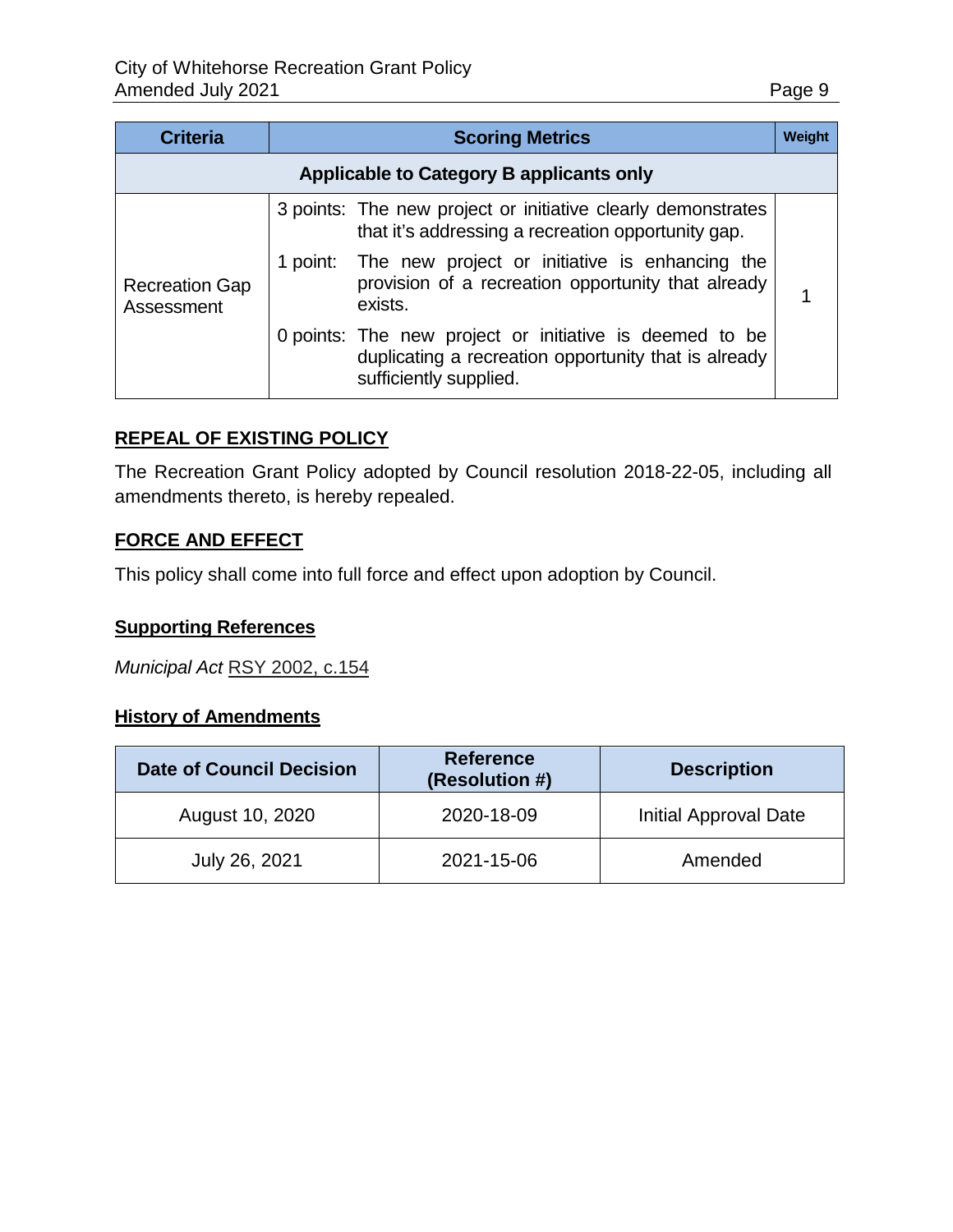| <b>Criteria</b>                                 | <b>Scoring Metrics</b> |                                                                                                                                           |  |
|-------------------------------------------------|------------------------|-------------------------------------------------------------------------------------------------------------------------------------------|--|
| <b>Applicable to Category B applicants only</b> |                        |                                                                                                                                           |  |
|                                                 |                        | 3 points: The new project or initiative clearly demonstrates<br>that it's addressing a recreation opportunity gap.                        |  |
| <b>Recreation Gap</b><br>Assessment             |                        | 1 point: The new project or initiative is enhancing the<br>provision of a recreation opportunity that already<br>exists.                  |  |
|                                                 |                        | 0 points: The new project or initiative is deemed to be<br>duplicating a recreation opportunity that is already<br>sufficiently supplied. |  |

### **REPEAL OF EXISTING POLICY**

The Recreation Grant Policy adopted by Council resolution 2018-22-05, including all amendments thereto, is hereby repealed.

### **FORCE AND EFFECT**

This policy shall come into full force and effect upon adoption by Council.

### **Supporting References**

*Municipal Act* [RSY 2002, c.154](http://www.gov.yk.ca/legislation/acts/huri_c.pdf)

### **History of Amendments**

| <b>Date of Council Decision</b> | <b>Reference</b><br>(Resolution #) | <b>Description</b>    |
|---------------------------------|------------------------------------|-----------------------|
| August 10, 2020                 | 2020-18-09                         | Initial Approval Date |
| July 26, 2021                   | 2021-15-06                         | Amended               |